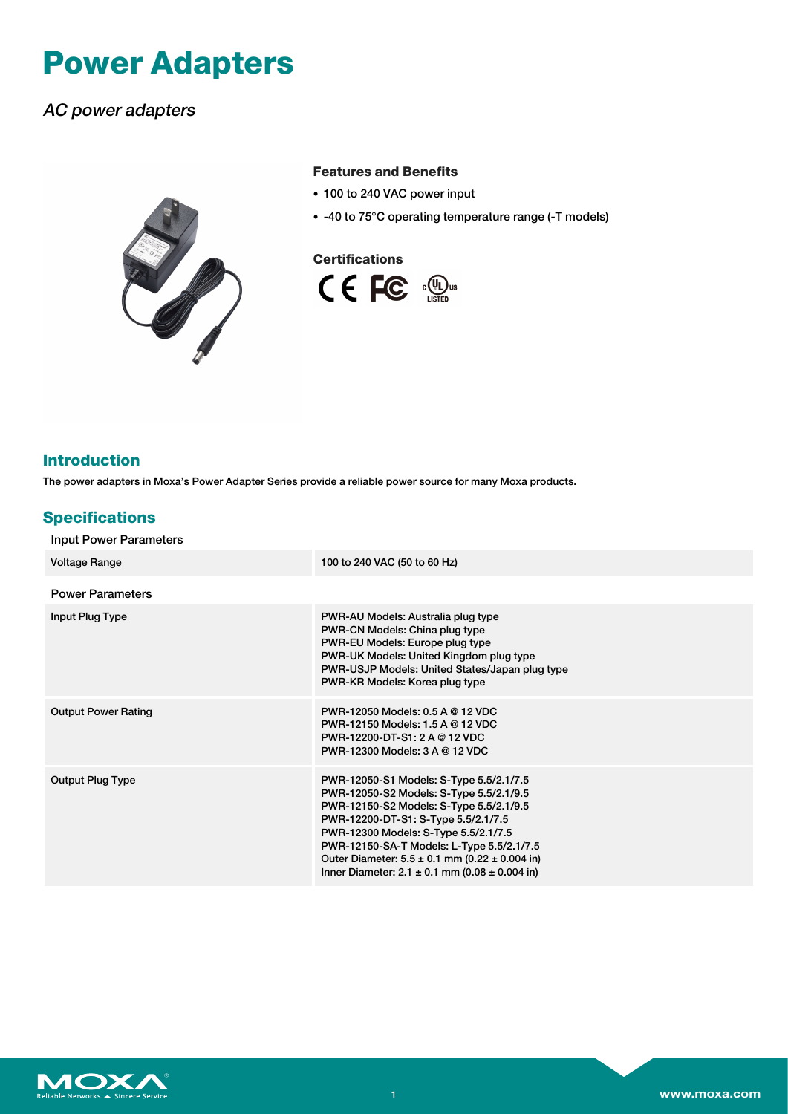# **Power Adapters**

# AC power adapters



#### **Features and Benefits**

- 100 to 240 VAC power input
- -40 to 75°C operating temperature range (-T models)

#### **Certifications**



## **Introduction**

The power adapters in Moxa's Power Adapter Series provide a reliable power source for many Moxa products.

### **Specifications**

| <b>Input Power Parameters</b> |                                                                                                                                                                                                                                                                                                                                                                               |  |  |  |
|-------------------------------|-------------------------------------------------------------------------------------------------------------------------------------------------------------------------------------------------------------------------------------------------------------------------------------------------------------------------------------------------------------------------------|--|--|--|
| <b>Voltage Range</b>          | 100 to 240 VAC (50 to 60 Hz)                                                                                                                                                                                                                                                                                                                                                  |  |  |  |
| <b>Power Parameters</b>       |                                                                                                                                                                                                                                                                                                                                                                               |  |  |  |
| Input Plug Type               | PWR-AU Models: Australia plug type<br>PWR-CN Models: China plug type<br>PWR-EU Models: Europe plug type<br>PWR-UK Models: United Kingdom plug type<br>PWR-USJP Models: United States/Japan plug type<br>PWR-KR Models: Korea plug type                                                                                                                                        |  |  |  |
| <b>Output Power Rating</b>    | PWR-12050 Models: 0.5 A @ 12 VDC<br>PWR-12150 Models: 1.5 A @ 12 VDC<br>PWR-12200-DT-S1: 2 A @ 12 VDC<br>PWR-12300 Models: 3 A @ 12 VDC                                                                                                                                                                                                                                       |  |  |  |
| <b>Output Plug Type</b>       | PWR-12050-S1 Models: S-Type 5.5/2.1/7.5<br>PWR-12050-S2 Models: S-Type 5.5/2.1/9.5<br>PWR-12150-S2 Models: S-Type 5.5/2.1/9.5<br>PWR-12200-DT-S1: S-Type 5.5/2.1/7.5<br>PWR-12300 Models: S-Type 5.5/2.1/7.5<br>PWR-12150-SA-T Models: L-Type 5.5/2.1/7.5<br>Outer Diameter: $5.5 \pm 0.1$ mm (0.22 $\pm$ 0.004 in)<br>Inner Diameter: $2.1 \pm 0.1$ mm (0.08 $\pm$ 0.004 in) |  |  |  |

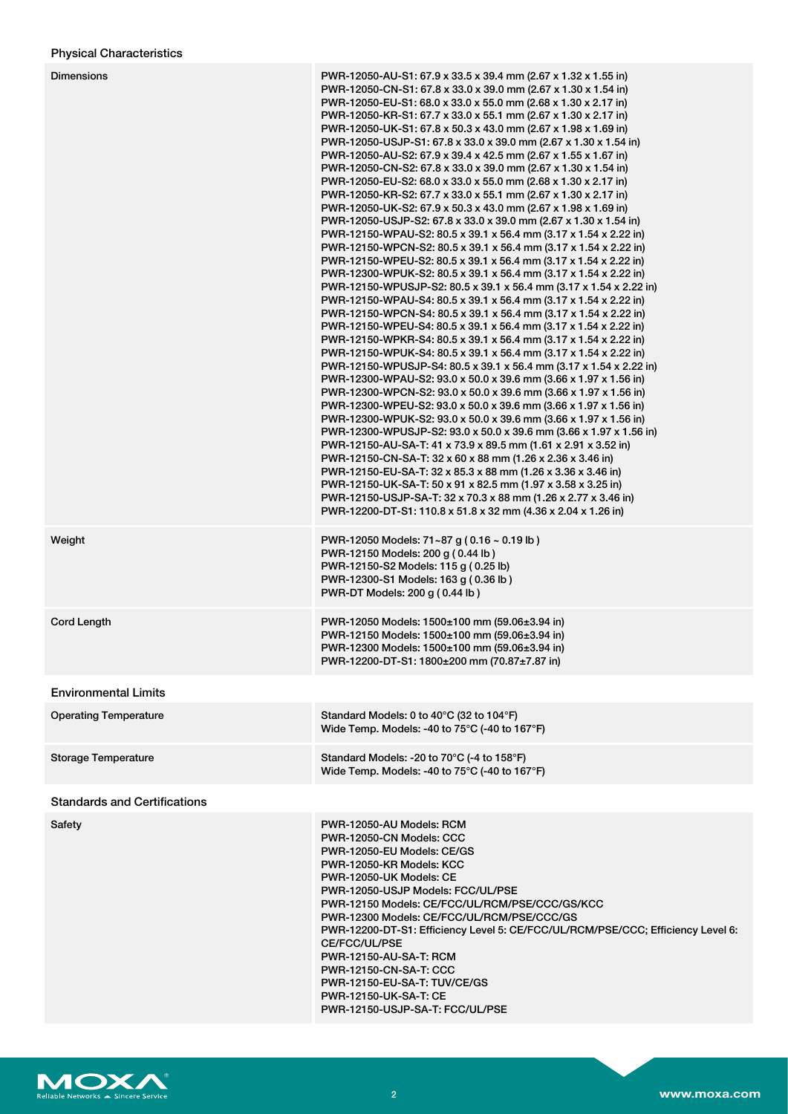| <b>Dimensions</b>                   | PWR-12050-AU-S1: 67.9 x 33.5 x 39.4 mm (2.67 x 1.32 x 1.55 in)<br>PWR-12050-CN-S1: 67.8 x 33.0 x 39.0 mm (2.67 x 1.30 x 1.54 in)<br>PWR-12050-EU-S1: 68.0 x 33.0 x 55.0 mm (2.68 x 1.30 x 2.17 in)<br>PWR-12050-KR-S1: 67.7 x 33.0 x 55.1 mm (2.67 x 1.30 x 2.17 in)<br>PWR-12050-UK-S1: 67.8 x 50.3 x 43.0 mm (2.67 x 1.98 x 1.69 in)<br>PWR-12050-USJP-S1: 67.8 x 33.0 x 39.0 mm (2.67 x 1.30 x 1.54 in)<br>PWR-12050-AU-S2: 67.9 x 39.4 x 42.5 mm (2.67 x 1.55 x 1.67 in)<br>PWR-12050-CN-S2: 67.8 x 33.0 x 39.0 mm (2.67 x 1.30 x 1.54 in)<br>PWR-12050-EU-S2: 68.0 x 33.0 x 55.0 mm (2.68 x 1.30 x 2.17 in)<br>PWR-12050-KR-S2: 67.7 x 33.0 x 55.1 mm (2.67 x 1.30 x 2.17 in)<br>PWR-12050-UK-S2: 67.9 x 50.3 x 43.0 mm (2.67 x 1.98 x 1.69 in)<br>PWR-12050-USJP-S2: 67.8 x 33.0 x 39.0 mm (2.67 x 1.30 x 1.54 in)<br>PWR-12150-WPAU-S2: 80.5 x 39.1 x 56.4 mm (3.17 x 1.54 x 2.22 in)<br>PWR-12150-WPCN-S2: 80.5 x 39.1 x 56.4 mm (3.17 x 1.54 x 2.22 in)<br>PWR-12150-WPEU-S2: 80.5 x 39.1 x 56.4 mm (3.17 x 1.54 x 2.22 in)<br>PWR-12300-WPUK-S2: 80.5 x 39.1 x 56.4 mm (3.17 x 1.54 x 2.22 in)<br>PWR-12150-WPUSJP-S2: 80.5 x 39.1 x 56.4 mm (3.17 x 1.54 x 2.22 in)<br>PWR-12150-WPAU-S4: 80.5 x 39.1 x 56.4 mm (3.17 x 1.54 x 2.22 in)<br>PWR-12150-WPCN-S4: 80.5 x 39.1 x 56.4 mm (3.17 x 1.54 x 2.22 in)<br>PWR-12150-WPEU-S4: 80.5 x 39.1 x 56.4 mm (3.17 x 1.54 x 2.22 in)<br>PWR-12150-WPKR-S4: 80.5 x 39.1 x 56.4 mm (3.17 x 1.54 x 2.22 in)<br>PWR-12150-WPUK-S4: 80.5 x 39.1 x 56.4 mm (3.17 x 1.54 x 2.22 in)<br>PWR-12150-WPUSJP-S4: 80.5 x 39.1 x 56.4 mm (3.17 x 1.54 x 2.22 in)<br>PWR-12300-WPAU-S2: 93.0 x 50.0 x 39.6 mm (3.66 x 1.97 x 1.56 in)<br>PWR-12300-WPCN-S2: 93.0 x 50.0 x 39.6 mm (3.66 x 1.97 x 1.56 in)<br>PWR-12300-WPEU-S2: 93.0 x 50.0 x 39.6 mm (3.66 x 1.97 x 1.56 in)<br>PWR-12300-WPUK-S2: 93.0 x 50.0 x 39.6 mm (3.66 x 1.97 x 1.56 in)<br>PWR-12300-WPUSJP-S2: 93.0 x 50.0 x 39.6 mm (3.66 x 1.97 x 1.56 in)<br>PWR-12150-AU-SA-T: 41 x 73.9 x 89.5 mm (1.61 x 2.91 x 3.52 in)<br>PWR-12150-CN-SA-T: 32 x 60 x 88 mm (1.26 x 2.36 x 3.46 in)<br>PWR-12150-EU-SA-T: 32 x 85.3 x 88 mm (1.26 x 3.36 x 3.46 in)<br>PWR-12150-UK-SA-T: 50 x 91 x 82.5 mm (1.97 x 3.58 x 3.25 in)<br>PWR-12150-USJP-SA-T: 32 x 70.3 x 88 mm (1.26 x 2.77 x 3.46 in)<br>PWR-12200-DT-S1: 110.8 x 51.8 x 32 mm (4.36 x 2.04 x 1.26 in) |
|-------------------------------------|-------------------------------------------------------------------------------------------------------------------------------------------------------------------------------------------------------------------------------------------------------------------------------------------------------------------------------------------------------------------------------------------------------------------------------------------------------------------------------------------------------------------------------------------------------------------------------------------------------------------------------------------------------------------------------------------------------------------------------------------------------------------------------------------------------------------------------------------------------------------------------------------------------------------------------------------------------------------------------------------------------------------------------------------------------------------------------------------------------------------------------------------------------------------------------------------------------------------------------------------------------------------------------------------------------------------------------------------------------------------------------------------------------------------------------------------------------------------------------------------------------------------------------------------------------------------------------------------------------------------------------------------------------------------------------------------------------------------------------------------------------------------------------------------------------------------------------------------------------------------------------------------------------------------------------------------------------------------------------------------------------------------------------------------------------------------------------------------------------------------------------------------------------------------------------------------------------------------------------------------------------------------------------------------------------------------------------------------------------------------|
| Weight                              | PWR-12050 Models: 71~87 g (0.16 ~ 0.19 lb)<br>PWR-12150 Models: 200 g (0.44 lb)<br>PWR-12150-S2 Models: 115 g (0.25 lb)<br>PWR-12300-S1 Models: 163 g (0.36 lb)<br>PWR-DT Models: 200 g (0.44 lb)                                                                                                                                                                                                                                                                                                                                                                                                                                                                                                                                                                                                                                                                                                                                                                                                                                                                                                                                                                                                                                                                                                                                                                                                                                                                                                                                                                                                                                                                                                                                                                                                                                                                                                                                                                                                                                                                                                                                                                                                                                                                                                                                                                 |
| Cord Length                         | PWR-12050 Models: 1500±100 mm (59.06±3.94 in)<br>PWR-12150 Models: 1500±100 mm (59.06±3.94 in)<br>PWR-12300 Models: 1500±100 mm (59.06±3.94 in)<br>PWR-12200-DT-S1: 1800±200 mm (70.87±7.87 in)                                                                                                                                                                                                                                                                                                                                                                                                                                                                                                                                                                                                                                                                                                                                                                                                                                                                                                                                                                                                                                                                                                                                                                                                                                                                                                                                                                                                                                                                                                                                                                                                                                                                                                                                                                                                                                                                                                                                                                                                                                                                                                                                                                   |
| <b>Environmental Limits</b>         |                                                                                                                                                                                                                                                                                                                                                                                                                                                                                                                                                                                                                                                                                                                                                                                                                                                                                                                                                                                                                                                                                                                                                                                                                                                                                                                                                                                                                                                                                                                                                                                                                                                                                                                                                                                                                                                                                                                                                                                                                                                                                                                                                                                                                                                                                                                                                                   |
| <b>Operating Temperature</b>        | Standard Models: 0 to 40°C (32 to 104°F)<br>Wide Temp. Models: -40 to 75°C (-40 to 167°F)                                                                                                                                                                                                                                                                                                                                                                                                                                                                                                                                                                                                                                                                                                                                                                                                                                                                                                                                                                                                                                                                                                                                                                                                                                                                                                                                                                                                                                                                                                                                                                                                                                                                                                                                                                                                                                                                                                                                                                                                                                                                                                                                                                                                                                                                         |
| <b>Storage Temperature</b>          | Standard Models: -20 to 70°C (-4 to 158°F)<br>Wide Temp. Models: -40 to 75°C (-40 to 167°F)                                                                                                                                                                                                                                                                                                                                                                                                                                                                                                                                                                                                                                                                                                                                                                                                                                                                                                                                                                                                                                                                                                                                                                                                                                                                                                                                                                                                                                                                                                                                                                                                                                                                                                                                                                                                                                                                                                                                                                                                                                                                                                                                                                                                                                                                       |
| <b>Standards and Certifications</b> |                                                                                                                                                                                                                                                                                                                                                                                                                                                                                                                                                                                                                                                                                                                                                                                                                                                                                                                                                                                                                                                                                                                                                                                                                                                                                                                                                                                                                                                                                                                                                                                                                                                                                                                                                                                                                                                                                                                                                                                                                                                                                                                                                                                                                                                                                                                                                                   |
| Safety                              | PWR-12050-AU Models: RCM<br>PWR-12050-CN Models: CCC<br>PWR-12050-EU Models: CE/GS<br>PWR-12050-KR Models: KCC<br>PWR-12050-UK Models: CE<br>PWR-12050-USJP Models: FCC/UL/PSE<br>PWR-12150 Models: CE/FCC/UL/RCM/PSE/CCC/GS/KCC<br>PWR-12300 Models: CE/FCC/UL/RCM/PSE/CCC/GS<br>PWR-12200-DT-S1: Efficiency Level 5: CE/FCC/UL/RCM/PSE/CCC; Efficiency Level 6:<br>CE/FCC/UL/PSE<br><b>PWR-12150-AU-SA-T: RCM</b><br><b>PWR-12150-CN-SA-T: CCC</b><br>PWR-12150-EU-SA-T: TUV/CE/GS<br><b>PWR-12150-UK-SA-T: CE</b><br>PWR-12150-USJP-SA-T: FCC/UL/PSE                                                                                                                                                                                                                                                                                                                                                                                                                                                                                                                                                                                                                                                                                                                                                                                                                                                                                                                                                                                                                                                                                                                                                                                                                                                                                                                                                                                                                                                                                                                                                                                                                                                                                                                                                                                                           |

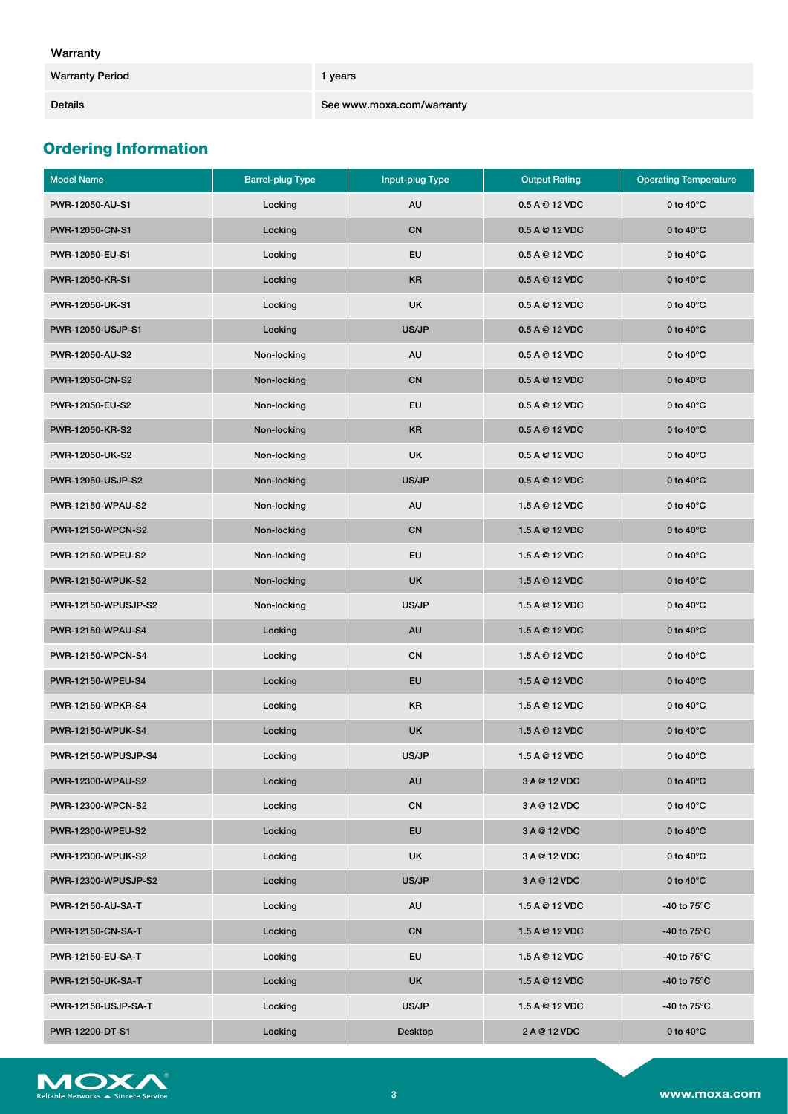Details **See www.moxa.com/warranty** 

# **Ordering Information**

| <b>Model Name</b>   | <b>Barrel-plug Type</b> | Input-plug Type | <b>Output Rating</b> | <b>Operating Temperature</b> |
|---------------------|-------------------------|-----------------|----------------------|------------------------------|
| PWR-12050-AU-S1     | Locking                 | AU              | 0.5 A @ 12 VDC       | 0 to $40^{\circ}$ C          |
| PWR-12050-CN-S1     | Locking                 | CN              | 0.5 A @ 12 VDC       | 0 to $40^{\circ}$ C          |
| PWR-12050-EU-S1     | Locking                 | <b>EU</b>       | 0.5 A @ 12 VDC       | 0 to $40^{\circ}$ C          |
| PWR-12050-KR-S1     | Locking                 | <b>KR</b>       | 0.5 A @ 12 VDC       | 0 to $40^{\circ}$ C          |
| PWR-12050-UK-S1     | Locking                 | <b>UK</b>       | $0.5$ A @ 12 VDC     | 0 to $40^{\circ}$ C          |
| PWR-12050-USJP-S1   | Locking                 | US/JP           | 0.5 A @ 12 VDC       | 0 to $40^{\circ}$ C          |
| PWR-12050-AU-S2     | Non-locking             | AU              | 0.5 A @ 12 VDC       | 0 to $40^{\circ}$ C          |
| PWR-12050-CN-S2     | Non-locking             | CN              | 0.5 A @ 12 VDC       | 0 to $40^{\circ}$ C          |
| PWR-12050-EU-S2     | Non-locking             | EU              | 0.5 A @ 12 VDC       | 0 to $40^{\circ}$ C          |
| PWR-12050-KR-S2     | Non-locking             | <b>KR</b>       | 0.5 A @ 12 VDC       | 0 to $40^{\circ}$ C          |
| PWR-12050-UK-S2     | Non-locking             | <b>UK</b>       | 0.5 A @ 12 VDC       | 0 to $40^{\circ}$ C          |
| PWR-12050-USJP-S2   | Non-locking             | US/JP           | $0.5$ A @ 12 VDC     | 0 to $40^{\circ}$ C          |
| PWR-12150-WPAU-S2   | Non-locking             | AU              | 1.5 A @ 12 VDC       | 0 to $40^{\circ}$ C          |
| PWR-12150-WPCN-S2   | Non-locking             | CN              | 1.5 A @ 12 VDC       | 0 to $40^{\circ}$ C          |
| PWR-12150-WPEU-S2   | Non-locking             | EU              | 1.5 A @ 12 VDC       | 0 to $40^{\circ}$ C          |
| PWR-12150-WPUK-S2   | Non-locking             | <b>UK</b>       | 1.5 A @ 12 VDC       | 0 to $40^{\circ}$ C          |
| PWR-12150-WPUSJP-S2 | Non-locking             | US/JP           | 1.5 A @ 12 VDC       | 0 to $40^{\circ}$ C          |
| PWR-12150-WPAU-S4   | Locking                 | AU              | 1.5 A @ 12 VDC       | 0 to $40^{\circ}$ C          |
| PWR-12150-WPCN-S4   | Locking                 | CN              | 1.5 A @ 12 VDC       | 0 to $40^{\circ}$ C          |
| PWR-12150-WPEU-S4   | Locking                 | EU              | 1.5 A @ 12 VDC       | 0 to $40^{\circ}$ C          |
| PWR-12150-WPKR-S4   | Locking                 | KR              | 1.5 A @ 12 VDC       | 0 to $40^{\circ}$ C          |
| PWR-12150-WPUK-S4   | Locking                 | UK              | 1.5 A @ 12 VDC       | 0 to $40^{\circ}$ C          |
| PWR-12150-WPUSJP-S4 | Locking                 | US/JP           | 1.5 A @ 12 VDC       | 0 to $40^{\circ}$ C          |
| PWR-12300-WPAU-S2   | Locking                 | AU              | 3 A @ 12 VDC         | 0 to $40^{\circ}$ C          |
| PWR-12300-WPCN-S2   | Locking                 | CN              | 3 A @ 12 VDC         | 0 to $40^{\circ}$ C          |
| PWR-12300-WPEU-S2   | Locking                 | EU              | 3 A @ 12 VDC         | 0 to $40^{\circ}$ C          |
| PWR-12300-WPUK-S2   | Locking                 | UK              | 3 A @ 12 VDC         | 0 to $40^{\circ}$ C          |
| PWR-12300-WPUSJP-S2 | Locking                 | US/JP           | 3 A @ 12 VDC         | 0 to $40^{\circ}$ C          |
| PWR-12150-AU-SA-T   | Locking                 | AU              | 1.5 A @ 12 VDC       | -40 to $75^{\circ}$ C        |
| PWR-12150-CN-SA-T   | Locking                 | CN              | 1.5 A @ 12 VDC       | -40 to $75^{\circ}$ C        |
| PWR-12150-EU-SA-T   | Locking                 | EU              | 1.5 A @ 12 VDC       | -40 to $75^{\circ}$ C        |
| PWR-12150-UK-SA-T   | Locking                 | UK              | 1.5 A @ 12 VDC       | -40 to $75^{\circ}$ C        |
| PWR-12150-USJP-SA-T | Locking                 | US/JP           | 1.5 A @ 12 VDC       | -40 to $75^{\circ}$ C        |
| PWR-12200-DT-S1     | Locking                 | Desktop         | 2 A @ 12 VDC         | 0 to $40^{\circ}$ C          |